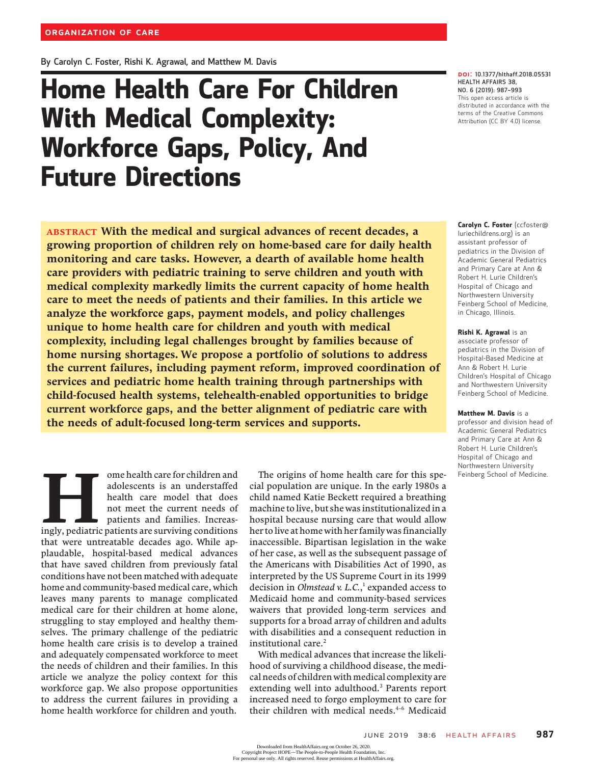By Carolyn C. Foster, Rishi K. Agrawal, and Matthew M. Davis

# Home Health Care For Children With Medical Complexity: Workforce Gaps, Policy, And Future Directions

DOI: 10.1377/hlthaff.2018.05531 HEALTH AFFAIRS 38, <mark>DOI</mark>: 10.1377/hlthaff.2<br>HEALTH AFFAIRS 38,<br>NO. 6 (2019): 987-993 This open access article is distributed in accordance with the terms of the Creative Commons Attribution (CC BY 4.0) license.

ABSTRACT With the medical and surgical advances of recent decades, a growing proportion of children rely on home-based care for daily health monitoring and care tasks. However, a dearth of available home health care providers with pediatric training to serve children and youth with medical complexity markedly limits the current capacity of home health care to meet the needs of patients and their families. In this article we analyze the workforce gaps, payment models, and policy challenges unique to home health care for children and youth with medical complexity, including legal challenges brought by families because of home nursing shortages. We propose a portfolio of solutions to address the current failures, including payment reform, improved coordination of services and pediatric home health training through partnerships with child-focused health systems, telehealth-enabled opportunities to bridge current workforce gaps, and the better alignment of pediatric care with the needs of adult-focused long-term services and supports.

ome health care for children and<br>adolescents is an understaffed<br>health care model that does<br>not meet the current needs of<br>patients and families. Increas-<br>ingly, pediatric patients are surviving conditions adolescents is an understaffed health care model that does not meet the current needs of patients and families. Increasthat were untreatable decades ago. While applaudable, hospital-based medical advances that have saved children from previously fatal conditions have not been matched with adequate home and community-based medical care, which leaves many parents to manage complicated medical care for their children at home alone, struggling to stay employed and healthy themselves. The primary challenge of the pediatric home health care crisis is to develop a trained and adequately compensated workforce to meet the needs of children and their families. In this article we analyze the policy context for this workforce gap. We also propose opportunities to address the current failures in providing a home health workforce for children and youth.

The origins of home health care for this special population are unique. In the early 1980s a child named Katie Beckett required a breathing machine to live, but she was institutionalized in a hospital because nursing care that would allow her to live at home with her family was financially inaccessible. Bipartisan legislation in the wake of her case, as well as the subsequent passage of the Americans with Disabilities Act of 1990, as interpreted by the US Supreme Court in its 1999 decision in *Olmstead* v. L.C., $\frac{1}{1}$  expanded access to Medicaid home and community-based services waivers that provided long-term services and supports for a broad array of children and adults with disabilities and a consequent reduction in institutional care.<sup>2</sup>

With medical advances that increase the likelihood of surviving a childhood disease, the medical needs of children with medical complexity are extending well into adulthood.3 Parents report increased need to forgo employment to care for their children with medical needs.<sup>4-6</sup> Medicaid Carolyn C. Foster (ccfoster@ luriechildrens.org) is an assistant professor of pediatrics in the Division of Academic General Pediatrics and Primary Care at Ann & Robert H. Lurie Children'<sup>s</sup> Hospital of Chicago and Northwestern University Feinberg School of Medicine, in Chicago, Illinois.

#### Rishi K. Agrawal is an associate professor of pediatrics in the Division of Hospital-Based Medicine at Ann & Robert H. Lurie Children's Hospital of Chicago and Northwestern University Feinberg School of Medicine.

Matthew M. Davis is a professor and division head of Academic General Pediatrics and Primary Care at Ann & Robert H. Lurie Children'<sup>s</sup> Hospital of Chicago and Northwestern University Feinberg School of Medicine.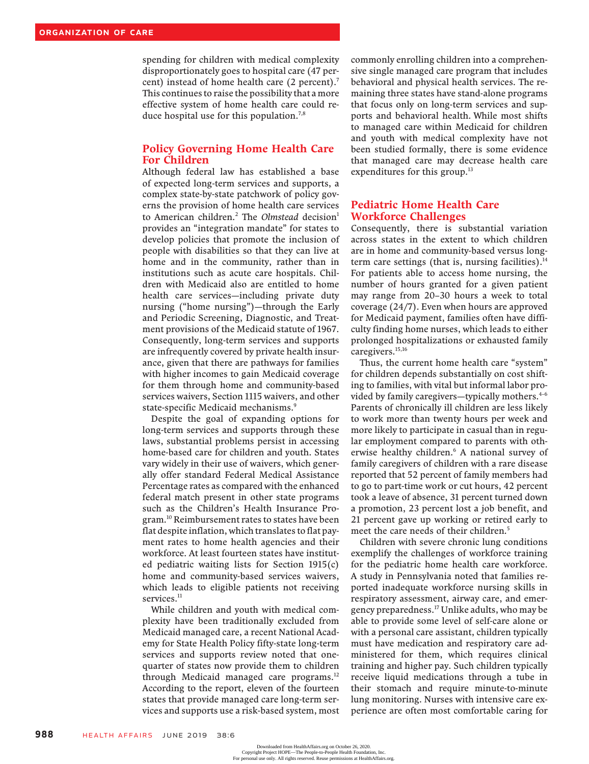spending for children with medical complexity disproportionately goes to hospital care (47 percent) instead of home health care (2 percent).<sup>7</sup> This continues to raise the possibility that a more effective system of home health care could reduce hospital use for this population.<sup>7,8</sup>

### Policy Governing Home Health Care For Children

Although federal law has established a base of expected long-term services and supports, a complex state-by-state patchwork of policy governs the provision of home health care services to American children.<sup>2</sup> The Olmstead decision<sup>1</sup> provides an "integration mandate" for states to develop policies that promote the inclusion of people with disabilities so that they can live at home and in the community, rather than in institutions such as acute care hospitals. Children with Medicaid also are entitled to home health care services—including private duty nursing ("home nursing")—through the Early and Periodic Screening, Diagnostic, and Treatment provisions of the Medicaid statute of 1967. Consequently, long-term services and supports are infrequently covered by private health insurance, given that there are pathways for families with higher incomes to gain Medicaid coverage for them through home and community-based services waivers, Section 1115 waivers, and other state-specific Medicaid mechanisms.<sup>9</sup>

Despite the goal of expanding options for long-term services and supports through these laws, substantial problems persist in accessing home-based care for children and youth. States vary widely in their use of waivers, which generally offer standard Federal Medical Assistance Percentage rates as compared with the enhanced federal match present in other state programs such as the Children's Health Insurance Program.10 Reimbursement rates to states have been flat despite inflation, which translates to flat payment rates to home health agencies and their workforce. At least fourteen states have instituted pediatric waiting lists for Section 1915(c) home and community-based services waivers, which leads to eligible patients not receiving services.<sup>11</sup>

While children and youth with medical complexity have been traditionally excluded from Medicaid managed care, a recent National Academy for State Health Policy fifty-state long-term services and supports review noted that onequarter of states now provide them to children through Medicaid managed care programs.<sup>12</sup> According to the report, eleven of the fourteen states that provide managed care long-term services and supports use a risk-based system, most commonly enrolling children into a comprehensive single managed care program that includes behavioral and physical health services. The remaining three states have stand-alone programs that focus only on long-term services and supports and behavioral health. While most shifts to managed care within Medicaid for children and youth with medical complexity have not been studied formally, there is some evidence that managed care may decrease health care expenditures for this group.<sup>13</sup>

## Pediatric Home Health Care Workforce Challenges

Consequently, there is substantial variation across states in the extent to which children are in home and community-based versus longterm care settings (that is, nursing facilities). $<sup>14</sup>$ </sup> For patients able to access home nursing, the number of hours granted for a given patient may range from 20–30 hours a week to total coverage (24/7). Even when hours are approved for Medicaid payment, families often have difficulty finding home nurses, which leads to either prolonged hospitalizations or exhausted family caregivers.<sup>15,16</sup>

Thus, the current home health care "system" for children depends substantially on cost shifting to families, with vital but informal labor provided by family caregivers—typically mothers. $4-6$ Parents of chronically ill children are less likely to work more than twenty hours per week and more likely to participate in casual than in regular employment compared to parents with otherwise healthy children.<sup>6</sup> A national survey of family caregivers of children with a rare disease reported that 52 percent of family members had to go to part-time work or cut hours, 42 percent took a leave of absence, 31 percent turned down a promotion, 23 percent lost a job benefit, and 21 percent gave up working or retired early to meet the care needs of their children.<sup>5</sup>

Children with severe chronic lung conditions exemplify the challenges of workforce training for the pediatric home health care workforce. A study in Pennsylvania noted that families reported inadequate workforce nursing skills in respiratory assessment, airway care, and emergency preparedness.17 Unlike adults, who may be able to provide some level of self-care alone or with a personal care assistant, children typically must have medication and respiratory care administered for them, which requires clinical training and higher pay. Such children typically receive liquid medications through a tube in their stomach and require minute-to-minute lung monitoring. Nurses with intensive care experience are often most comfortable caring for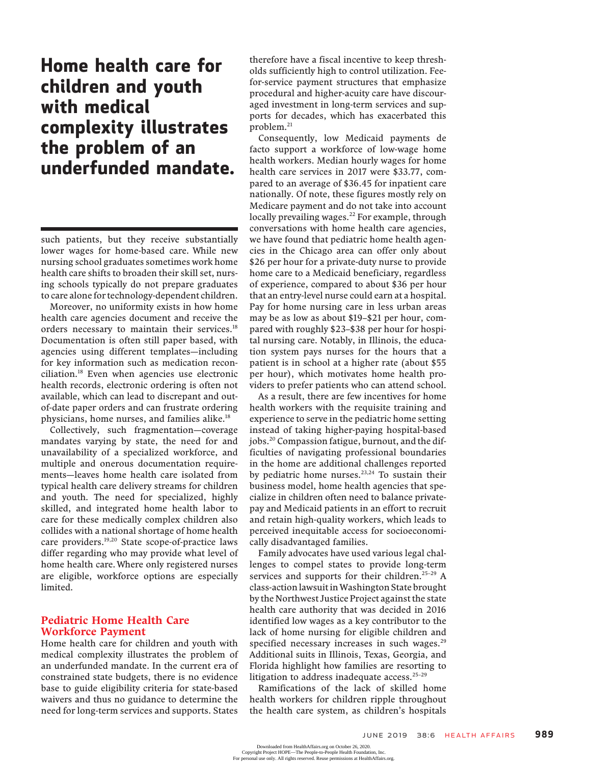# Home health care for children and youth with medical complexity illustrates the problem of an underfunded mandate.

such patients, but they receive substantially lower wages for home-based care. While new nursing school graduates sometimes work home health care shifts to broaden their skill set, nursing schools typically do not prepare graduates to care alone for technology-dependent children.

Moreover, no uniformity exists in how home health care agencies document and receive the orders necessary to maintain their services.<sup>18</sup> Documentation is often still paper based, with agencies using different templates—including for key information such as medication reconciliation.18 Even when agencies use electronic health records, electronic ordering is often not available, which can lead to discrepant and outof-date paper orders and can frustrate ordering physicians, home nurses, and families alike.18

Collectively, such fragmentation—coverage mandates varying by state, the need for and unavailability of a specialized workforce, and multiple and onerous documentation requirements—leaves home health care isolated from typical health care delivery streams for children and youth. The need for specialized, highly skilled, and integrated home health labor to care for these medically complex children also collides with a national shortage of home health care providers.<sup>19,20</sup> State scope-of-practice laws differ regarding who may provide what level of home health care. Where only registered nurses are eligible, workforce options are especially limited.

### Pediatric Home Health Care Workforce Payment

Home health care for children and youth with medical complexity illustrates the problem of an underfunded mandate. In the current era of constrained state budgets, there is no evidence base to guide eligibility criteria for state-based waivers and thus no guidance to determine the need for long-term services and supports. States

therefore have a fiscal incentive to keep thresholds sufficiently high to control utilization. Feefor-service payment structures that emphasize procedural and higher-acuity care have discouraged investment in long-term services and supports for decades, which has exacerbated this problem.<sup>21</sup>

Consequently, low Medicaid payments de facto support a workforce of low-wage home health workers. Median hourly wages for home health care services in 2017 were \$33.77, compared to an average of \$36.45 for inpatient care nationally. Of note, these figures mostly rely on Medicare payment and do not take into account locally prevailing wages.<sup>22</sup> For example, through conversations with home health care agencies, we have found that pediatric home health agencies in the Chicago area can offer only about \$26 per hour for a private-duty nurse to provide home care to a Medicaid beneficiary, regardless of experience, compared to about \$36 per hour that an entry-level nurse could earn at a hospital. Pay for home nursing care in less urban areas may be as low as about \$19–\$21 per hour, compared with roughly \$23–\$38 per hour for hospital nursing care. Notably, in Illinois, the education system pays nurses for the hours that a patient is in school at a higher rate (about \$55 per hour), which motivates home health providers to prefer patients who can attend school.

As a result, there are few incentives for home health workers with the requisite training and experience to serve in the pediatric home setting instead of taking higher-paying hospital-based jobs.20 Compassion fatigue, burnout, and the difficulties of navigating professional boundaries in the home are additional challenges reported by pediatric home nurses. $23,24$  To sustain their business model, home health agencies that specialize in children often need to balance privatepay and Medicaid patients in an effort to recruit and retain high-quality workers, which leads to perceived inequitable access for socioeconomically disadvantaged families.

Family advocates have used various legal challenges to compel states to provide long-term services and supports for their children.<sup>25-29</sup> A class-action lawsuit inWashington State brought by the Northwest Justice Project against the state health care authority that was decided in 2016 identified low wages as a key contributor to the lack of home nursing for eligible children and specified necessary increases in such wages.<sup>29</sup> Additional suits in Illinois, Texas, Georgia, and Florida highlight how families are resorting to litigation to address inadequate access.<sup>25-29</sup>

Ramifications of the lack of skilled home health workers for children ripple throughout the health care system, as children's hospitals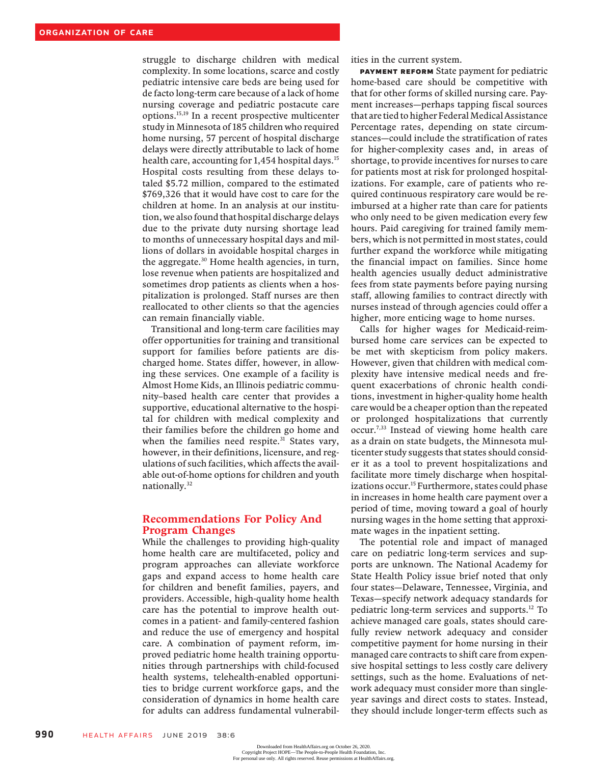struggle to discharge children with medical complexity. In some locations, scarce and costly pediatric intensive care beds are being used for de facto long-term care because of a lack of home nursing coverage and pediatric postacute care options.15,19 In a recent prospective multicenter study in Minnesota of 185 children who required home nursing, 57 percent of hospital discharge delays were directly attributable to lack of home health care, accounting for 1,454 hospital days.<sup>15</sup> Hospital costs resulting from these delays totaled \$5.72 million, compared to the estimated \$769,326 that it would have cost to care for the children at home. In an analysis at our institution, we also found that hospital discharge delays due to the private duty nursing shortage lead to months of unnecessary hospital days and millions of dollars in avoidable hospital charges in the aggregate.30 Home health agencies, in turn, lose revenue when patients are hospitalized and sometimes drop patients as clients when a hospitalization is prolonged. Staff nurses are then reallocated to other clients so that the agencies can remain financially viable.

Transitional and long-term care facilities may offer opportunities for training and transitional support for families before patients are discharged home. States differ, however, in allowing these services. One example of a facility is Almost Home Kids, an Illinois pediatric community–based health care center that provides a supportive, educational alternative to the hospital for children with medical complexity and their families before the children go home and when the families need respite.<sup>31</sup> States vary, however, in their definitions, licensure, and regulations of such facilities, which affects the available out-of-home options for children and youth nationally.32

### Recommendations For Policy And Program Changes

While the challenges to providing high-quality home health care are multifaceted, policy and program approaches can alleviate workforce gaps and expand access to home health care for children and benefit families, payers, and providers. Accessible, high-quality home health care has the potential to improve health outcomes in a patient- and family-centered fashion and reduce the use of emergency and hospital care. A combination of payment reform, improved pediatric home health training opportunities through partnerships with child-focused health systems, telehealth-enabled opportunities to bridge current workforce gaps, and the consideration of dynamics in home health care for adults can address fundamental vulnerabil-

ities in the current system.

Payment Reform State payment for pediatric home-based care should be competitive with that for other forms of skilled nursing care. Payment increases—perhaps tapping fiscal sources that are tied to higher Federal Medical Assistance Percentage rates, depending on state circumstances—could include the stratification of rates for higher-complexity cases and, in areas of shortage, to provide incentives for nurses to care for patients most at risk for prolonged hospitalizations. For example, care of patients who required continuous respiratory care would be reimbursed at a higher rate than care for patients who only need to be given medication every few hours. Paid caregiving for trained family members, which is not permitted in most states, could further expand the workforce while mitigating the financial impact on families. Since home health agencies usually deduct administrative fees from state payments before paying nursing staff, allowing families to contract directly with nurses instead of through agencies could offer a higher, more enticing wage to home nurses.

Calls for higher wages for Medicaid-reimbursed home care services can be expected to be met with skepticism from policy makers. However, given that children with medical complexity have intensive medical needs and frequent exacerbations of chronic health conditions, investment in higher-quality home health care would be a cheaper option than the repeated or prolonged hospitalizations that currently occur.7,33 Instead of viewing home health care as a drain on state budgets, the Minnesota multicenter study suggests that states should consider it as a tool to prevent hospitalizations and facilitate more timely discharge when hospitalizations occur.<sup>15</sup> Furthermore, states could phase in increases in home health care payment over a period of time, moving toward a goal of hourly nursing wages in the home setting that approximate wages in the inpatient setting.

The potential role and impact of managed care on pediatric long-term services and supports are unknown. The National Academy for State Health Policy issue brief noted that only four states—Delaware, Tennessee, Virginia, and Texas—specify network adequacy standards for pediatric long-term services and supports.12 To achieve managed care goals, states should carefully review network adequacy and consider competitive payment for home nursing in their managed care contracts to shift care from expensive hospital settings to less costly care delivery settings, such as the home. Evaluations of network adequacy must consider more than singleyear savings and direct costs to states. Instead, they should include longer-term effects such as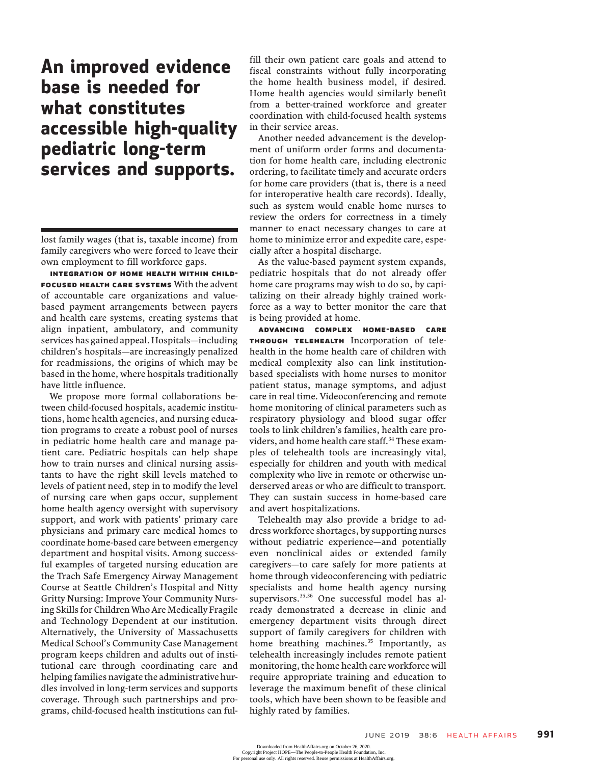An improved evidence base is needed for what constitutes accessible high-quality pediatric long-term services and supports.

lost family wages (that is, taxable income) from family caregivers who were forced to leave their own employment to fill workforce gaps.

Integration Of Home Health Within Child-FOCUSED HEALTH CARE SYSTEMS With the advent of accountable care organizations and valuebased payment arrangements between payers and health care systems, creating systems that align inpatient, ambulatory, and community services has gained appeal. Hospitals—including children's hospitals—are increasingly penalized for readmissions, the origins of which may be based in the home, where hospitals traditionally have little influence.

We propose more formal collaborations between child-focused hospitals, academic institutions, home health agencies, and nursing education programs to create a robust pool of nurses in pediatric home health care and manage patient care. Pediatric hospitals can help shape how to train nurses and clinical nursing assistants to have the right skill levels matched to levels of patient need, step in to modify the level of nursing care when gaps occur, supplement home health agency oversight with supervisory support, and work with patients' primary care physicians and primary care medical homes to coordinate home-based care between emergency department and hospital visits. Among successful examples of targeted nursing education are the Trach Safe Emergency Airway Management Course at Seattle Children's Hospital and Nitty Gritty Nursing: Improve Your Community Nursing Skills for Children Who Are Medically Fragile and Technology Dependent at our institution. Alternatively, the University of Massachusetts Medical School's Community Case Management program keeps children and adults out of institutional care through coordinating care and helping families navigate the administrative hurdles involved in long-term services and supports coverage. Through such partnerships and programs, child-focused health institutions can fulfill their own patient care goals and attend to fiscal constraints without fully incorporating the home health business model, if desired. Home health agencies would similarly benefit from a better-trained workforce and greater coordination with child-focused health systems in their service areas.

Another needed advancement is the development of uniform order forms and documentation for home health care, including electronic ordering, to facilitate timely and accurate orders for home care providers (that is, there is a need for interoperative health care records). Ideally, such as system would enable home nurses to review the orders for correctness in a timely manner to enact necessary changes to care at home to minimize error and expedite care, especially after a hospital discharge.

As the value-based payment system expands, pediatric hospitals that do not already offer home care programs may wish to do so, by capitalizing on their already highly trained workforce as a way to better monitor the care that is being provided at home.

Advancing Complex Home-Based Care Through Telehealth Incorporation of telehealth in the home health care of children with medical complexity also can link institutionbased specialists with home nurses to monitor patient status, manage symptoms, and adjust care in real time. Videoconferencing and remote home monitoring of clinical parameters such as respiratory physiology and blood sugar offer tools to link children's families, health care providers, and home health care staff.<sup>34</sup> These examples of telehealth tools are increasingly vital, especially for children and youth with medical complexity who live in remote or otherwise underserved areas or who are difficult to transport. They can sustain success in home-based care and avert hospitalizations.

Telehealth may also provide a bridge to address workforce shortages, by supporting nurses without pediatric experience—and potentially even nonclinical aides or extended family caregivers—to care safely for more patients at home through videoconferencing with pediatric specialists and home health agency nursing supervisors.<sup>35,36</sup> One successful model has already demonstrated a decrease in clinic and emergency department visits through direct support of family caregivers for children with home breathing machines.<sup>35</sup> Importantly, as telehealth increasingly includes remote patient monitoring, the home health care workforce will require appropriate training and education to leverage the maximum benefit of these clinical tools, which have been shown to be feasible and highly rated by families.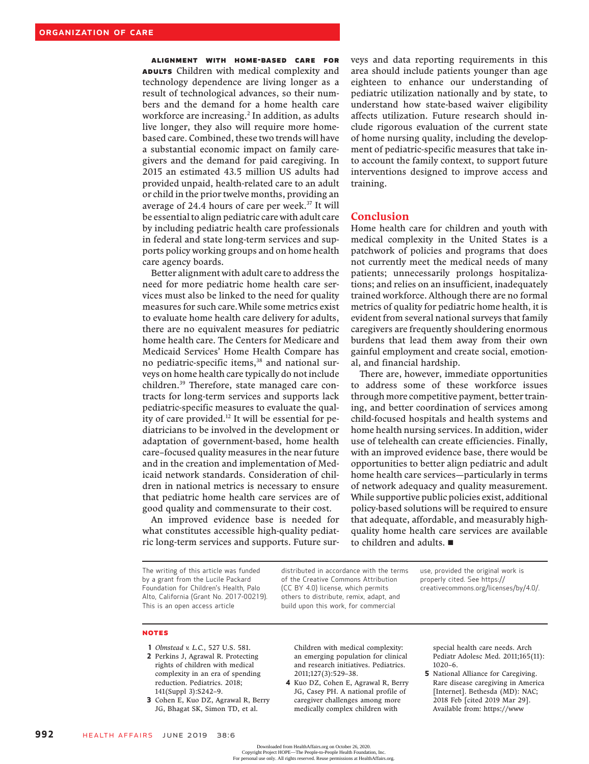Alignment With Home-Based Care For ADULTS Children with medical complexity and technology dependence are living longer as a result of technological advances, so their numbers and the demand for a home health care workforce are increasing.<sup>2</sup> In addition, as adults live longer, they also will require more homebased care. Combined, these two trends will have a substantial economic impact on family caregivers and the demand for paid caregiving. In 2015 an estimated 43.5 million US adults had provided unpaid, health-related care to an adult or child in the prior twelve months, providing an average of 24.4 hours of care per week.<sup>37</sup> It will be essential to align pediatric care with adult care by including pediatric health care professionals in federal and state long-term services and supports policy working groups and on home health care agency boards.

Better alignment with adult care to address the need for more pediatric home health care services must also be linked to the need for quality measures for such care.While some metrics exist to evaluate home health care delivery for adults, there are no equivalent measures for pediatric home health care. The Centers for Medicare and Medicaid Services' Home Health Compare has no pediatric-specific items,<sup>38</sup> and national surveys on home health care typically do not include children.<sup>39</sup> Therefore, state managed care contracts for long-term services and supports lack pediatric-specific measures to evaluate the quality of care provided.12 It will be essential for pediatricians to be involved in the development or adaptation of government-based, home health care–focused quality measures in the near future and in the creation and implementation of Medicaid network standards. Consideration of children in national metrics is necessary to ensure that pediatric home health care services are of good quality and commensurate to their cost.

An improved evidence base is needed for what constitutes accessible high-quality pediatric long-term services and supports. Future surveys and data reporting requirements in this area should include patients younger than age eighteen to enhance our understanding of pediatric utilization nationally and by state, to understand how state-based waiver eligibility affects utilization. Future research should include rigorous evaluation of the current state of home nursing quality, including the development of pediatric-specific measures that take into account the family context, to support future interventions designed to improve access and training.

### Conclusion

Home health care for children and youth with medical complexity in the United States is a patchwork of policies and programs that does not currently meet the medical needs of many patients; unnecessarily prolongs hospitalizations; and relies on an insufficient, inadequately trained workforce. Although there are no formal metrics of quality for pediatric home health, it is evident from several national surveys that family caregivers are frequently shouldering enormous burdens that lead them away from their own gainful employment and create social, emotional, and financial hardship.

There are, however, immediate opportunities to address some of these workforce issues through more competitive payment, better training, and better coordination of services among child-focused hospitals and health systems and home health nursing services. In addition, wider use of telehealth can create efficiencies. Finally, with an improved evidence base, there would be opportunities to better align pediatric and adult home health care services—particularly in terms of network adequacy and quality measurement. While supportive public policies exist, additional policy-based solutions will be required to ensure that adequate, affordable, and measurably highquality home health care services are available to children and adults.

The writing of this article was funded by a grant from the Lucile Packard Foundation for Children's Health, Palo Alto, California (Grant No. 2017-00219). This is an open access article

distributed in accordance with the terms of the Creative Commons Attribution (CC BY 4.0) license, which permits others to distribute, remix, adapt, and build upon this work, for commercial

use, provided the original work is properly cited. See https:// creativecommons.org/licenses/by/4.0/.

### NOTES

- 1 Olmstead v. L.C., 527 U.S. 581.
- 2 Perkins J, Agrawal R. Protecting rights of children with medical complexity in an era of spending reduction. Pediatrics. 2018; 141(Suppl 3):S242–9.
- 3 Cohen E, Kuo DZ, Agrawal R, Berry JG, Bhagat SK, Simon TD, et al.

Children with medical complexity: an emerging population for clinical and research initiatives. Pediatrics. 2011;127(3):529–38.

4 Kuo DZ, Cohen E, Agrawal R, Berry JG, Casey PH. A national profile of caregiver challenges among more medically complex children with

special health care needs. Arch Pediatr Adolesc Med. 2011;165(11): 1020–6.

5 National Alliance for Caregiving. Rare disease caregiving in America [Internet]. Bethesda (MD): NAC; 2018 Feb [cited 2019 Mar 29]. Available from: https://www